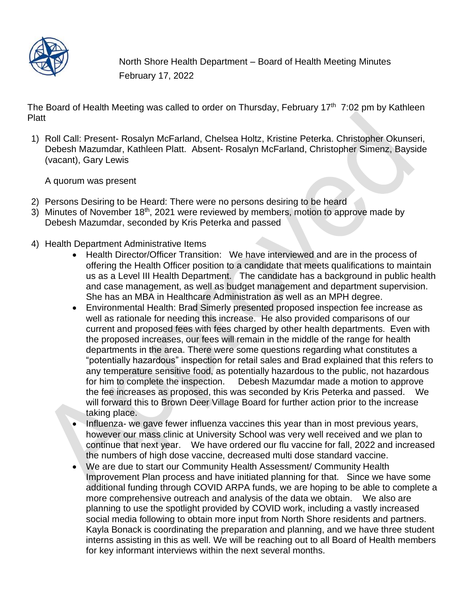

North Shore Health Department – Board of Health Meeting Minutes February 17, 2022

The Board of Health Meeting was called to order on Thursday, February 17<sup>th</sup> 7:02 pm by Kathleen Platt

1) Roll Call: Present- Rosalyn McFarland, Chelsea Holtz, Kristine Peterka. Christopher Okunseri, Debesh Mazumdar, Kathleen Platt. Absent- Rosalyn McFarland, Christopher Simenz, Bayside (vacant), Gary Lewis

A quorum was present

- 2) Persons Desiring to be Heard: There were no persons desiring to be heard
- 3) Minutes of November 18<sup>th</sup>, 2021 were reviewed by members, motion to approve made by Debesh Mazumdar, seconded by Kris Peterka and passed
- 4) Health Department Administrative Items
	- Health Director/Officer Transition: We have interviewed and are in the process of offering the Health Officer position to a candidate that meets qualifications to maintain us as a Level III Health Department. The candidate has a background in public health and case management, as well as budget management and department supervision. She has an MBA in Healthcare Administration as well as an MPH degree.
	- Environmental Health: Brad Simerly presented proposed inspection fee increase as well as rationale for needing this increase. He also provided comparisons of our current and proposed fees with fees charged by other health departments. Even with the proposed increases, our fees will remain in the middle of the range for health departments in the area. There were some questions regarding what constitutes a "potentially hazardous" inspection for retail sales and Brad explained that this refers to any temperature sensitive food, as potentially hazardous to the public, not hazardous for him to complete the inspection. Debesh Mazumdar made a motion to approve the fee increases as proposed, this was seconded by Kris Peterka and passed. We will forward this to Brown Deer Village Board for further action prior to the increase taking place.
	- Influenza- we gave fewer influenza vaccines this year than in most previous years, however our mass clinic at University School was very well received and we plan to continue that next year. We have ordered our flu vaccine for fall, 2022 and increased the numbers of high dose vaccine, decreased multi dose standard vaccine.
	- We are due to start our Community Health Assessment/ Community Health Improvement Plan process and have initiated planning for that. Since we have some additional funding through COVID ARPA funds, we are hoping to be able to complete a more comprehensive outreach and analysis of the data we obtain. We also are planning to use the spotlight provided by COVID work, including a vastly increased social media following to obtain more input from North Shore residents and partners. Kayla Bonack is coordinating the preparation and planning, and we have three student interns assisting in this as well. We will be reaching out to all Board of Health members for key informant interviews within the next several months.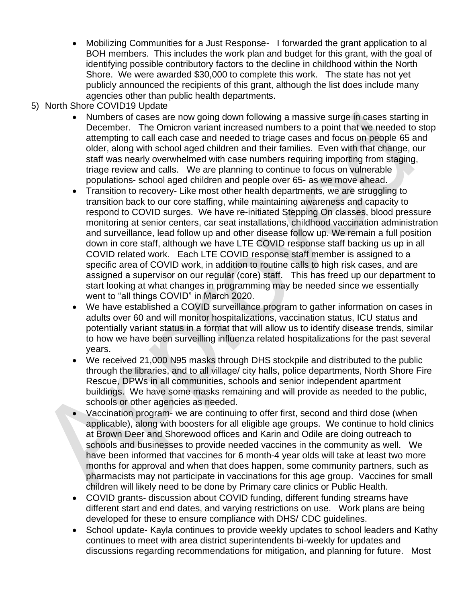- Mobilizing Communities for a Just Response- I forwarded the grant application to al BOH members. This includes the work plan and budget for this grant, with the goal of identifying possible contributory factors to the decline in childhood within the North Shore. We were awarded \$30,000 to complete this work. The state has not yet publicly announced the recipients of this grant, although the list does include many agencies other than public health departments.
- 5) North Shore COVID19 Update
	- Numbers of cases are now going down following a massive surge in cases starting in December. The Omicron variant increased numbers to a point that we needed to stop attempting to call each case and needed to triage cases and focus on people 65 and older, along with school aged children and their families. Even with that change, our staff was nearly overwhelmed with case numbers requiring importing from staging, triage review and calls. We are planning to continue to focus on vulnerable populations- school aged children and people over 65- as we move ahead.
	- Transition to recovery- Like most other health departments, we are struggling to transition back to our core staffing, while maintaining awareness and capacity to respond to COVID surges. We have re-initiated Stepping On classes, blood pressure monitoring at senior centers, car seat installations, childhood vaccination administration and surveillance, lead follow up and other disease follow up. We remain a full position down in core staff, although we have LTE COVID response staff backing us up in all COVID related work. Each LTE COVID response staff member is assigned to a specific area of COVID work, in addition to routine calls to high risk cases, and are assigned a supervisor on our regular (core) staff. This has freed up our department to start looking at what changes in programming may be needed since we essentially went to "all things COVID" in March 2020.
	- We have established a COVID surveillance program to gather information on cases in adults over 60 and will monitor hospitalizations, vaccination status, ICU status and potentially variant status in a format that will allow us to identify disease trends, similar to how we have been surveilling influenza related hospitalizations for the past several years.
	- We received 21,000 N95 masks through DHS stockpile and distributed to the public through the libraries, and to all village/ city halls, police departments, North Shore Fire Rescue, DPWs in all communities, schools and senior independent apartment buildings. We have some masks remaining and will provide as needed to the public, schools or other agencies as needed.
	- Vaccination program- we are continuing to offer first, second and third dose (when applicable), along with boosters for all eligible age groups. We continue to hold clinics at Brown Deer and Shorewood offices and Karin and Odile are doing outreach to schools and businesses to provide needed vaccines in the community as well. We have been informed that vaccines for 6 month-4 year olds will take at least two more months for approval and when that does happen, some community partners, such as pharmacists may not participate in vaccinations for this age group. Vaccines for small children will likely need to be done by Primary care clinics or Public Health.
	- COVID grants- discussion about COVID funding, different funding streams have different start and end dates, and varying restrictions on use. Work plans are being developed for these to ensure compliance with DHS/ CDC guidelines.
	- School update- Kayla continues to provide weekly updates to school leaders and Kathy continues to meet with area district superintendents bi-weekly for updates and discussions regarding recommendations for mitigation, and planning for future. Most